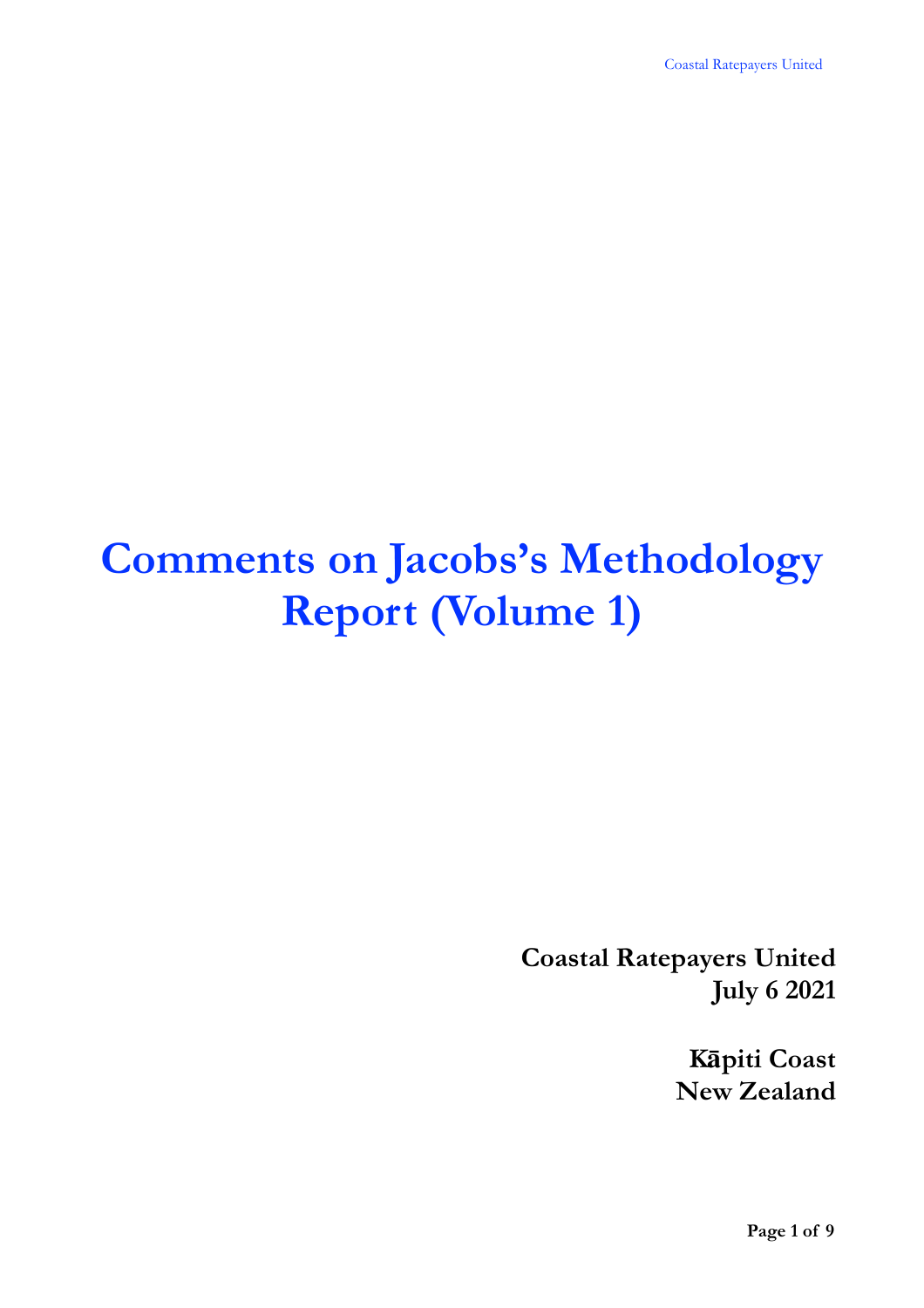# **Comments on Jacobs's Methodology Report (Volume 1)**

**Coastal Ratepayers United July 6 2021**

> **Kāpiti Coast New Zealand**

> > **Page 1 of 9**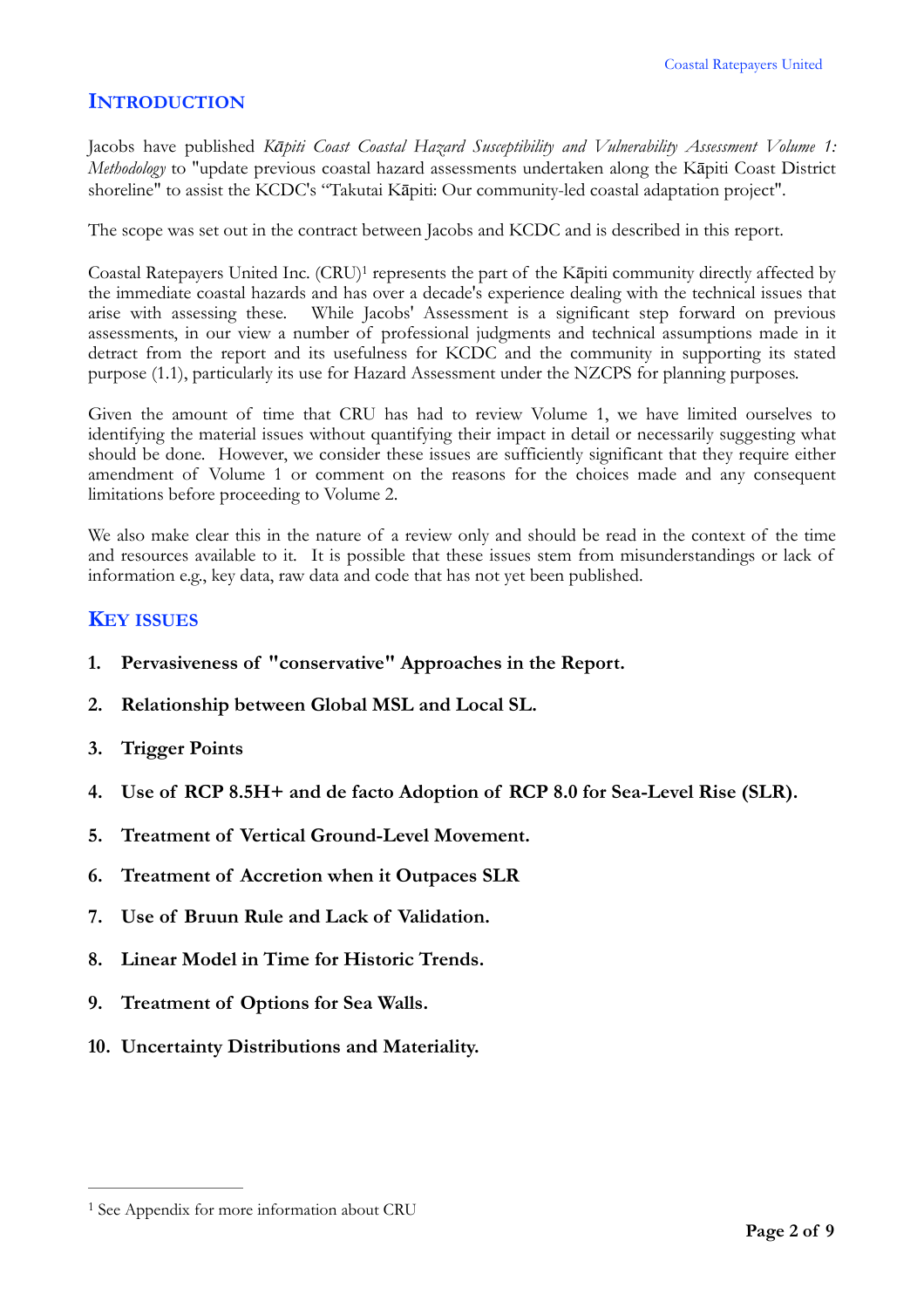## **INTRODUCTION**

Jacobs have published *Kāpiti Coast Coastal Hazard Susceptibility and Vulnerability Assessment Volume 1: Methodology* to "update previous coastal hazard assessments undertaken along the Kāpiti Coast District shoreline" to assist the KCDC's "Takutai Kāpiti: Our community-led coastal adaptation project".

The scope was set out in the contract between Jacobs and KCDC and is described in this report.

<span id="page-1-1"></span>Coastal Ratepayers United Inc. (CRU)<sup>1</sup> represents the part of the Kāpiti community directly affected by the immediate coastal hazards and has over a decade's experience dealing with the technical issues that arise with assessing these. While Jacobs' Assessment is a significant step forward on previous assessments, in our view a number of professional judgments and technical assumptions made in it detract from the report and its usefulness for KCDC and the community in supporting its stated purpose (1.1), particularly its use for Hazard Assessment under the NZCPS for planning purposes.

Given the amount of time that CRU has had to review Volume 1, we have limited ourselves to identifying the material issues without quantifying their impact in detail or necessarily suggesting what should be done. However, we consider these issues are sufficiently significant that they require either amendment of Volume 1 or comment on the reasons for the choices made and any consequent limitations before proceeding to Volume 2.

We also make clear this in the nature of a review only and should be read in the context of the time and resources available to it. It is possible that these issues stem from misunderstandings or lack of information e.g., key data, raw data and code that has not yet been published.

## **KEY ISSUES**

- **1. Pervasiveness of "conservative" Approaches in the Report.**
- **2. Relationship between Global MSL and Local SL.**
- **3. Trigger Points**
- **4. Use of RCP 8.5H+ and de facto Adoption of RCP 8.0 for Sea-Level Rise (SLR).**
- **5. Treatment of Vertical Ground-Level Movement.**
- **6. Treatment of Accretion when it Outpaces SLR**
- **7. Use of Bruun Rule and Lack of Validation.**
- **8. Linear Model in Time for Historic Trends.**
- **9. Treatment of Options for Sea Walls.**
- **10. Uncertainty Distributions and Materiality.**

<span id="page-1-0"></span>[<sup>1</sup>](#page-1-1) See Appendix for more information about CRU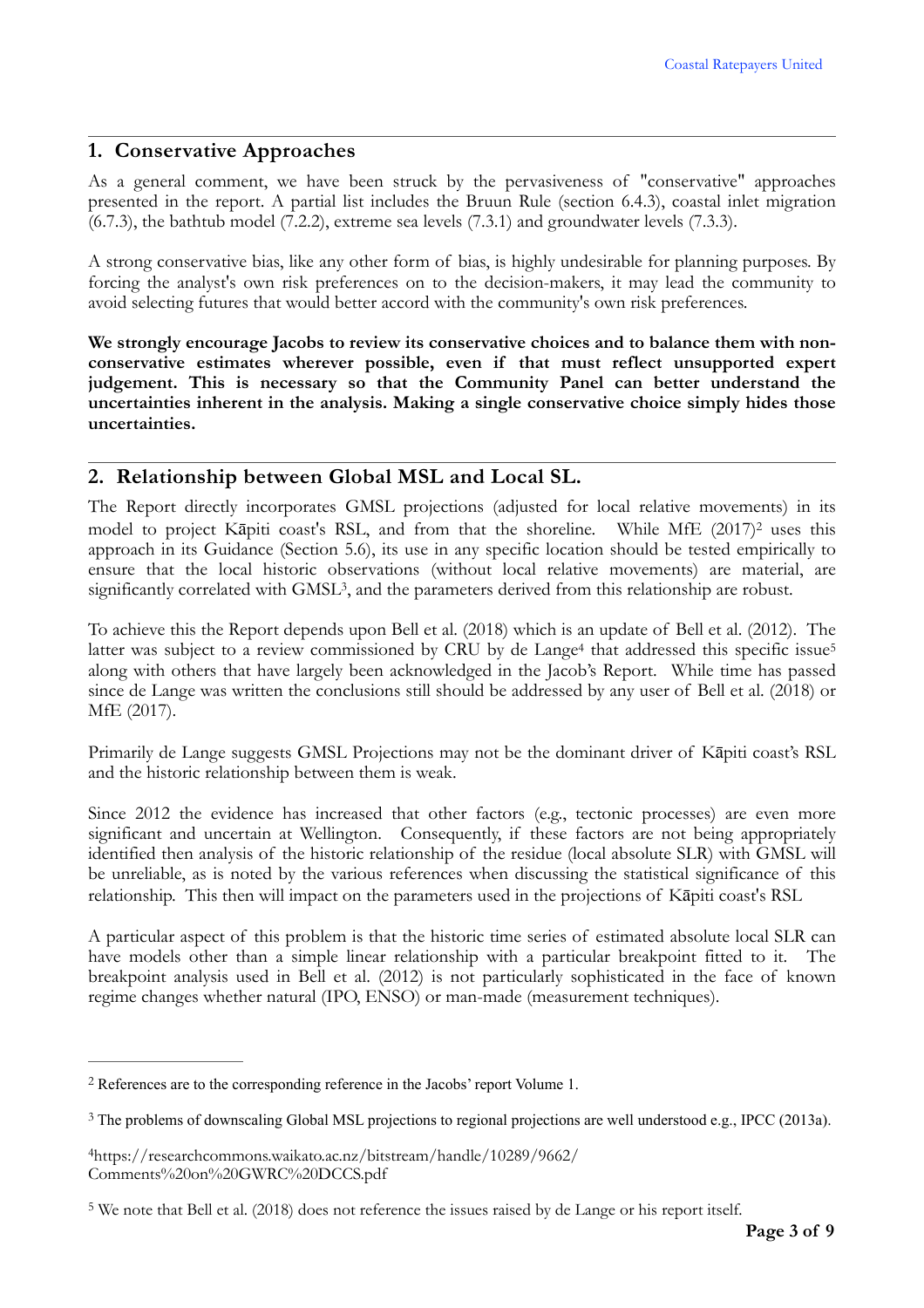### **1. Conservative Approaches**

As a general comment, we have been struck by the pervasiveness of "conservative" approaches presented in the report. A partial list includes the Bruun Rule (section 6.4.3), coastal inlet migration (6.7.3), the bathtub model (7.2.2), extreme sea levels (7.3.1) and groundwater levels (7.3.3).

A strong conservative bias, like any other form of bias, is highly undesirable for planning purposes. By forcing the analyst's own risk preferences on to the decision-makers, it may lead the community to avoid selecting futures that would better accord with the community's own risk preferences.

**We strongly encourage Jacobs to review its conservative choices and to balance them with nonconservative estimates wherever possible, even if that must reflect unsupported expert judgement. This is necessary so that the Community Panel can better understand the uncertainties inherent in the analysis. Making a single conservative choice simply hides those uncertainties.**

## **2. Relationship between Global MSL and Local SL.**

<span id="page-2-4"></span>The Report directly incorporates GMSL projections (adjusted for local relative movements) in its model to project Kāpiti coast's RSL, and from that the shoreline. While MfE ([2](#page-2-0)017)<sup>2</sup> uses this approach in its Guidance (Section 5.6), its use in any specific location should be tested empirically to ensure that the local historic observations (without local relative movements) are material, are significantly correlated with GMSL<sup>[3](#page-2-1)</sup>, and the parameters derived from this relationship are robust.

<span id="page-2-7"></span><span id="page-2-6"></span><span id="page-2-5"></span>To achieve this the Report depends upon Bell et al. (2018) which is an update of Bell et al. (2012). The latt[e](#page-2-2)r was subject to a review commissioned by CRU by de Lange<sup>4</sup> that addressed this specific issue<sup>[5](#page-2-3)</sup> along with others that have largely been acknowledged in the Jacob's Report. While time has passed since de Lange was written the conclusions still should be addressed by any user of Bell et al. (2018) or MfE (2017).

Primarily de Lange suggests GMSL Projections may not be the dominant driver of Kāpiti coast's RSL and the historic relationship between them is weak.

Since 2012 the evidence has increased that other factors (e.g., tectonic processes) are even more significant and uncertain at Wellington. Consequently, if these factors are not being appropriately identified then analysis of the historic relationship of the residue (local absolute SLR) with GMSL will be unreliable, as is noted by the various references when discussing the statistical significance of this relationship. This then will impact on the parameters used in the projections of Kāpiti coast's RSL

A particular aspect of this problem is that the historic time series of estimated absolute local SLR can have models other than a simple linear relationship with a particular breakpoint fitted to it. The breakpoint analysis used in Bell et al. (2012) is not particularly sophisticated in the face of known regime changes whether natural (IPO, ENSO) or man-made (measurement techniques).

<span id="page-2-0"></span>References are to the corresponding reference in the Jacobs' report Volume 1. [2](#page-2-4)

<span id="page-2-1"></span><sup>&</sup>lt;sup>[3](#page-2-5)</sup> The problems of downscaling Global MSL projections to regional projections are well understood e.g., IPCC (2013a).

<span id="page-2-2"></span>[<sup>4</sup>](#page-2-6)https://researchcommons.waikato.ac.nz/bitstream/handle/10289/9662/ Comments%20on%20GWRC%20DCCS.pdf

<span id="page-2-3"></span><sup>&</sup>lt;sup>[5](#page-2-7)</sup> We note that Bell et al. (2018) does not reference the issues raised by de Lange or his report itself.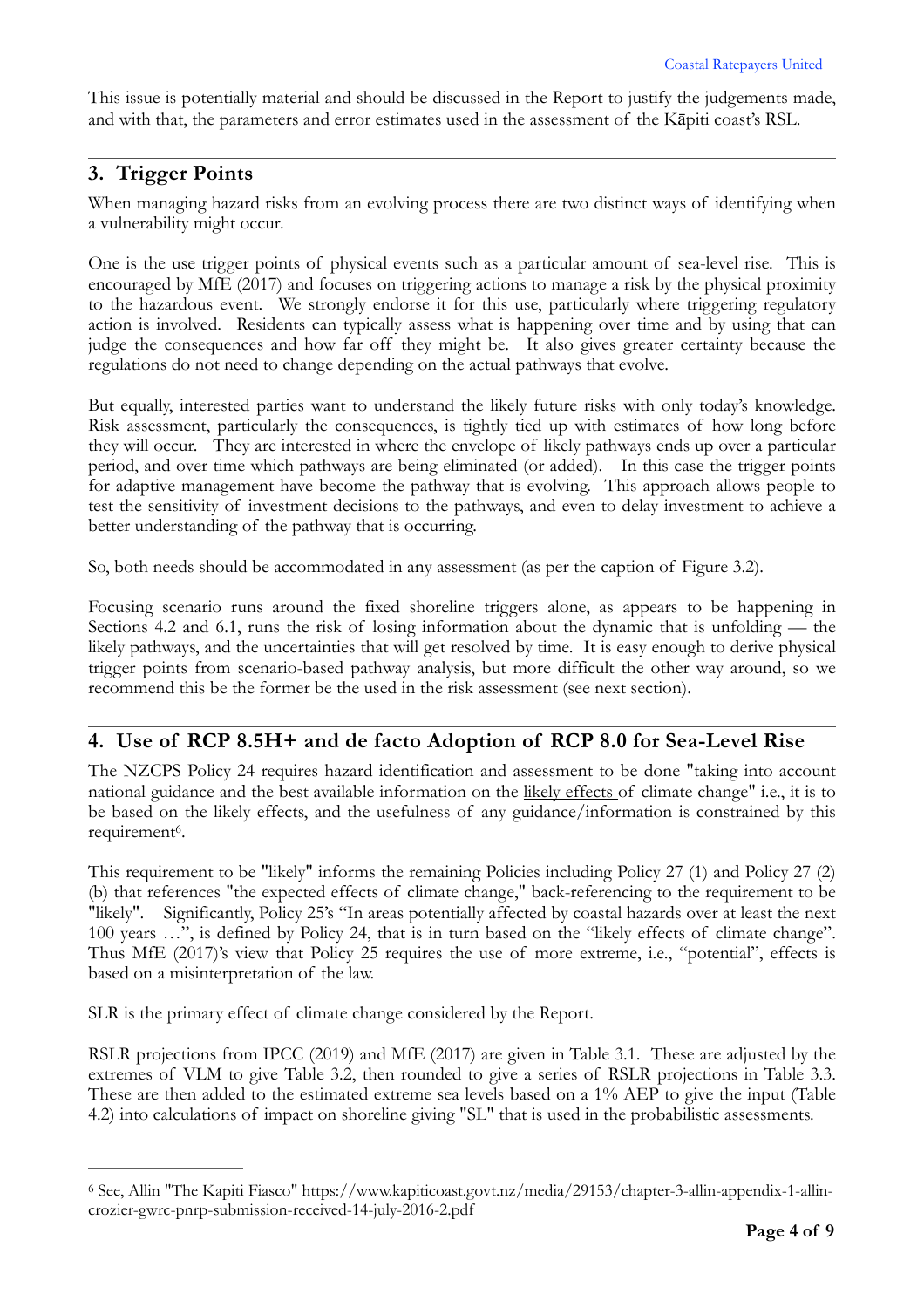This issue is potentially material and should be discussed in the Report to justify the judgements made, and with that, the parameters and error estimates used in the assessment of the Kāpiti coast's RSL.

### **3. Trigger Points**

When managing hazard risks from an evolving process there are two distinct ways of identifying when a vulnerability might occur.

One is the use trigger points of physical events such as a particular amount of sea-level rise. This is encouraged by MfE (2017) and focuses on triggering actions to manage a risk by the physical proximity to the hazardous event. We strongly endorse it for this use, particularly where triggering regulatory action is involved. Residents can typically assess what is happening over time and by using that can judge the consequences and how far off they might be. It also gives greater certainty because the regulations do not need to change depending on the actual pathways that evolve.

But equally, interested parties want to understand the likely future risks with only today's knowledge. Risk assessment, particularly the consequences, is tightly tied up with estimates of how long before they will occur. They are interested in where the envelope of likely pathways ends up over a particular period, and over time which pathways are being eliminated (or added). In this case the trigger points for adaptive management have become the pathway that is evolving. This approach allows people to test the sensitivity of investment decisions to the pathways, and even to delay investment to achieve a better understanding of the pathway that is occurring.

So, both needs should be accommodated in any assessment (as per the caption of Figure 3.2).

Focusing scenario runs around the fixed shoreline triggers alone, as appears to be happening in Sections 4.2 and 6.1, runs the risk of losing information about the dynamic that is unfolding — the likely pathways, and the uncertainties that will get resolved by time. It is easy enough to derive physical trigger points from scenario-based pathway analysis, but more difficult the other way around, so we recommend this be the former be the used in the risk assessment (see next section).

#### **4. Use of RCP 8.5H+ and de facto Adoption of RCP 8.0 for Sea-Level Rise**

The NZCPS Policy 24 requires hazard identification and assessment to be done "taking into account national guidance and the best available information on the likely effects of climate change" i.e., it is to be based on the likely effects, and the usefulness of any guidance/information is constrained by this requirement<sup>6</sup>[.](#page-3-0)

<span id="page-3-1"></span>This requirement to be "likely" informs the remaining Policies including Policy 27 (1) and Policy 27 (2) (b) that references "the expected effects of climate change," back-referencing to the requirement to be "likely". Significantly, Policy 25's "In areas potentially affected by coastal hazards over at least the next 100 years …", is defined by Policy 24, that is in turn based on the "likely effects of climate change". Thus MfE (2017)'s view that Policy 25 requires the use of more extreme, i.e., "potential", effects is based on a misinterpretation of the law.

SLR is the primary effect of climate change considered by the Report.

RSLR projections from IPCC (2019) and MfE (2017) are given in Table 3.1. These are adjusted by the extremes of VLM to give Table 3.2, then rounded to give a series of RSLR projections in Table 3.3. These are then added to the estimated extreme sea levels based on a 1% AEP to give the input (Table 4.2) into calculations of impact on shoreline giving "SL" that is used in the probabilistic assessments.

<span id="page-3-0"></span>See, Allin "The Kapiti Fiasco" https://www.kapiticoast.govt.nz/media/29153/chapter-3-allin-appendix-1-allin- [6](#page-3-1) crozier-gwrc-pnrp-submission-received-14-july-2016-2.pdf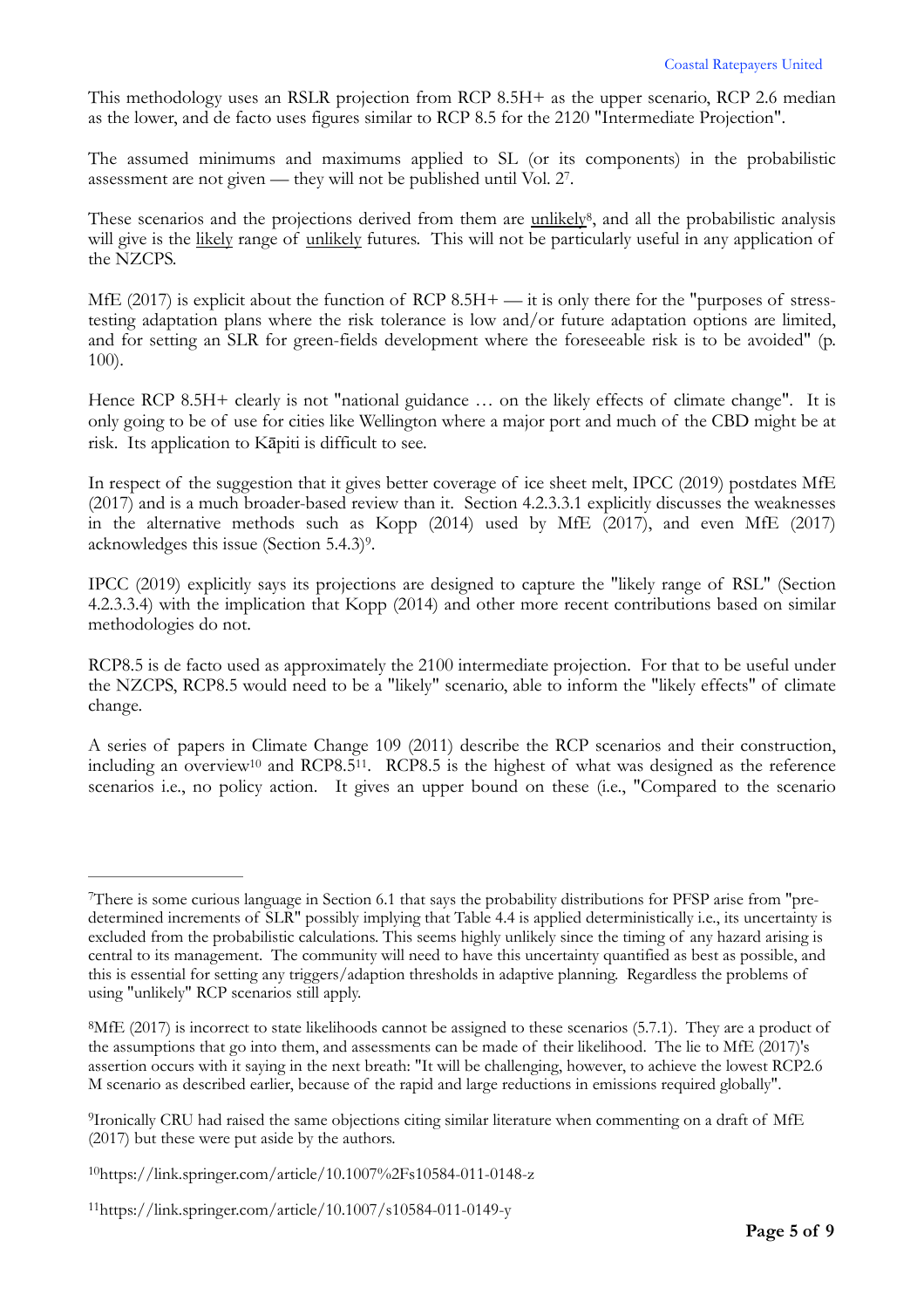This methodology uses an RSLR projection from RCP 8.5H+ as the upper scenario, RCP 2.6 median as the lower, and de facto uses figures similar to RCP 8.5 for the 2120 "Intermediate Projection".

<span id="page-4-5"></span>The assumed minimums and maximums applied to SL (or its components) in the probabilistic assessment are not given — they will not be published until Vol. 2[7](#page-4-0).

<span id="page-4-6"></span>These scenarios and the projections derived from them are unlikely<sup>[8](#page-4-1)</sup>, and all the probabilistic analysis will give is the likely range of unlikely futures. This will not be particularly useful in any application of the NZCPS.

MfE (2017) is explicit about the function of RCP 8.5H+ — it is only there for the "purposes of stresstesting adaptation plans where the risk tolerance is low and/or future adaptation options are limited, and for setting an SLR for green-fields development where the foreseeable risk is to be avoided" (p. 100).

Hence RCP 8.5H+ clearly is not "national guidance ... on the likely effects of climate change". It is only going to be of use for cities like Wellington where a major port and much of the CBD might be at risk. Its application to Kāpiti is difficult to see.

In respect of the suggestion that it gives better coverage of ice sheet melt, IPCC (2019) postdates MfE (2017) and is a much broader-based review than it. Section 4.2.3.3.1 explicitly discusses the weaknesses in the alternative methods such as Kopp (2014) used by MfE (2017), and even MfE (2017) acknowledges this issue (Section  $5.4.3$ )<sup>[9](#page-4-2)</sup>.

<span id="page-4-7"></span>IPCC (2019) explicitly says its projections are designed to capture the "likely range of RSL" (Section 4.2.3.3.4) with the implication that Kopp (2014) and other more recent contributions based on similar methodologies do not.

RCP8.5 is de facto used as approximately the 2100 intermediate projection. For that to be useful under the NZCPS, RCP8.5 would need to be a "likely" scenario, able to inform the "likely effects" of climate change.

<span id="page-4-9"></span><span id="page-4-8"></span>A series of papers in Climate Change 109 (2011) describe the RCP scenarios and their construction, including an overview<sup>10</sup> and RCP8.5<sup>11</sup>. RCP8.5 is the highest of what was designed as the reference scenarios i.e., no policy action. It gives an upper bound on these (i.e., "Compared to the scenario

<span id="page-4-0"></span>There is some curious language in Section 6.1 that says the probability distributions for PFSP arise from "pre- [7](#page-4-5) determined increments of SLR" possibly implying that Table 4.4 is applied deterministically i.e., its uncertainty is excluded from the probabilistic calculations. This seems highly unlikely since the timing of any hazard arising is central to its management. The community will need to have this uncertainty quantified as best as possible, and this is essential for setting any triggers/adaption thresholds in adaptive planning. Regardless the problems of using "unlikely" RCP scenarios still apply.

<span id="page-4-1"></span><sup>&</sup>lt;sup>[8](#page-4-6)</sup>MfE (2017) is incorrect to state likelihoods cannot be assigned to these scenarios (5.7.1). They are a product of the assumptions that go into them, and assessments can be made of their likelihood. The lie to MfE (2017)'s assertion occurs with it saying in the next breath: "It will be challenging, however, to achieve the lowest RCP2.6 M scenario as described earlier, because of the rapid and large reductions in emissions required globally".

<span id="page-4-2"></span><sup>&</sup>lt;sup>[9](#page-4-7)</sup>Ironically CRU had raised the same objections citing similar literature when commenting on a draft of MfE (2017) but these were put aside by the authors.

<span id="page-4-3"></span>https://link.springer.com/article/10.1007%2Fs10584-011-0148-z [10](#page-4-8)

<span id="page-4-4"></span>https://link.springer.com/article/10.1007/s10584-011-0149-y [11](#page-4-9)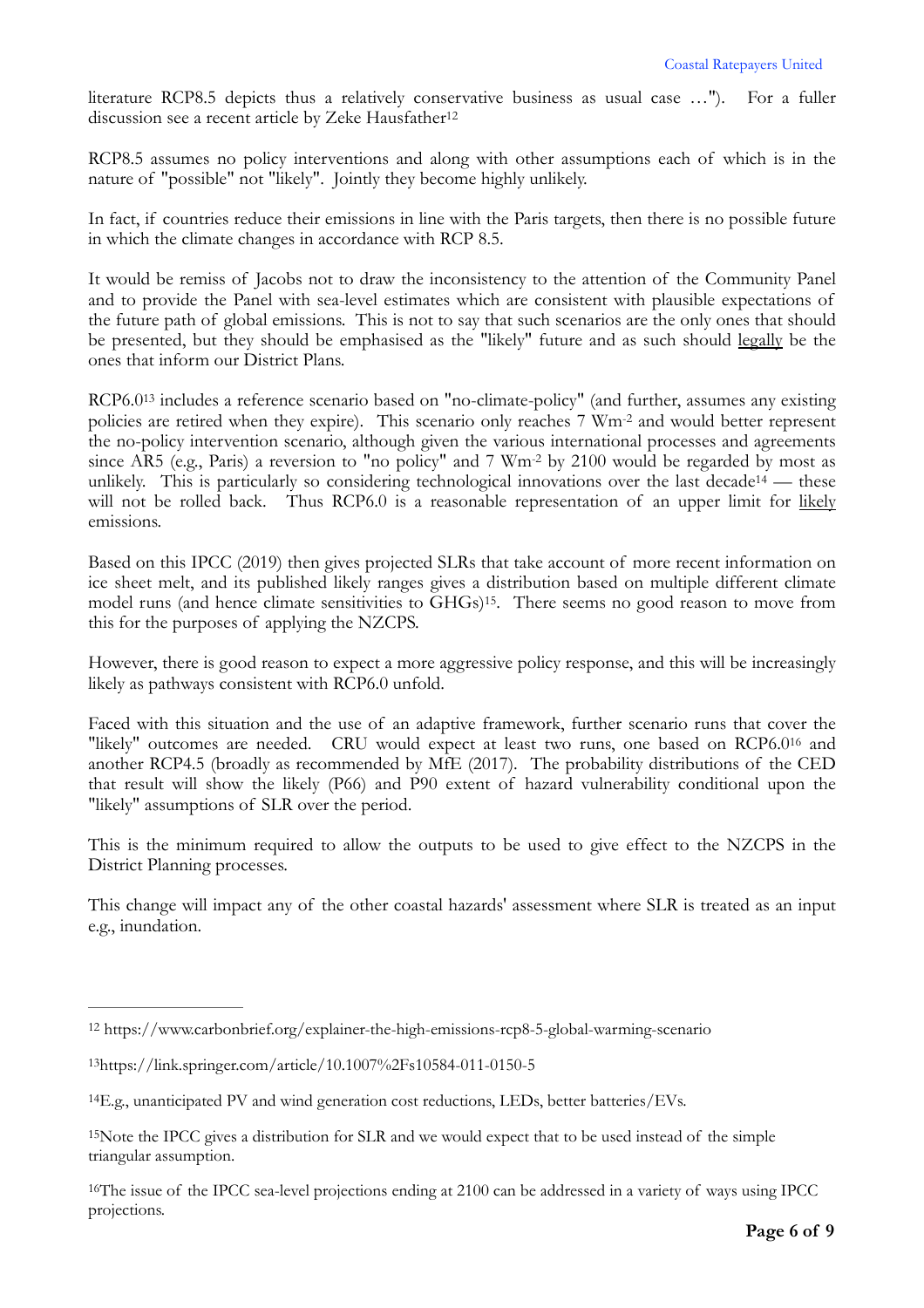<span id="page-5-5"></span>literature RCP8.5 depicts thus a relatively conservative business as usual case …"). For a fuller discussion see a recent article by Zeke Hausfather<sup>12</sup>

RCP8.5 assumes no policy interventions and along with other assumptions each of which is in the nature of "possible" not "likely". Jointly they become highly unlikely.

In fact, if countries reduce their emissions in line with the Paris targets, then there is no possible future in which the climate changes in accordance with RCP 8.5.

It would be remiss of Jacobs not to draw the inconsistency to the attention of the Community Panel and to provide the Panel with sea-level estimates which are consistent with plausible expectations of the future path of global emissions. This is not to say that such scenarios are the only ones that should be presented, but they should be emphasised as the "likely" future and as such should legally be the ones that inform our District Plans.

<span id="page-5-6"></span>RCP6.0[13](#page-5-1) includes a reference scenario based on "no-climate-policy" (and further, assumes any existing policies are retired when they expire). This scenario only reaches 7 Wm-2 and would better represent the no-policy intervention scenario, although given the various international processes and agreements since AR5 (e.g., Paris) a reversion to "no policy" and 7 Wm-2 by 2100 would be regarded by most as unlik[e](#page-5-2)ly. This is particularly so considering technological innovations over the last decade<sup>[14](#page-5-2)</sup> — these will not be rolled back. Thus RCP6.0 is a reasonable representation of an upper limit for likely emissions.

<span id="page-5-8"></span><span id="page-5-7"></span>Based on this IPCC (2019) then gives projected SLRs that take account of more recent information on ice sheet melt, and its published likely ranges gives a distribution based on multiple different climate model runs (and hence climate sensitivities to GHGs)<sup>15</sup>[.](#page-5-3) There seems no good reason to move from this for the purposes of applying the NZCPS.

However, there is good reason to expect a more aggressive policy response, and this will be increasingly likely as pathways consistent with RCP6.0 unfold.

<span id="page-5-9"></span>Faced with this situation and the use of an adaptive framework, further scenario runs that cover the "likely" outcomes are needed. CRU would expect at least two runs, one based on RCP6.0[16](#page-5-4) and another RCP4.5 (broadly as recommended by MfE (2017). The probability distributions of the CED that result will show the likely (P66) and P90 extent of hazard vulnerability conditional upon the "likely" assumptions of SLR over the period.

This is the minimum required to allow the outputs to be used to give effect to the NZCPS in the District Planning processes.

This change will impact any of the other coastal hazards' assessment where SLR is treated as an input e.g., inundation.

<span id="page-5-0"></span>[<sup>12</sup>](#page-5-5) https://www.carbonbrief.org/explainer-the-high-emissions-rcp8-5-global-warming-scenario

<span id="page-5-1"></span>[<sup>13</sup>](#page-5-6)https://link.springer.com/article/10.1007%2Fs10584-011-0150-5

<span id="page-5-2"></span> $^{14}$  $^{14}$  $^{14}$ E.g., unanticipated PV and wind generation cost reductions, LEDs, better batteries/EVs.

<span id="page-5-3"></span><sup>&</sup>lt;sup>[15](#page-5-8)</sup>Note the IPCC gives a distribution for SLR and we would expect that to be used instead of the simple triangular assumption.

<span id="page-5-4"></span><sup>&</sup>lt;sup>[16](#page-5-9)</sup>The issue of the IPCC sea-level projections ending at 2100 can be addressed in a variety of ways using IPCC projections.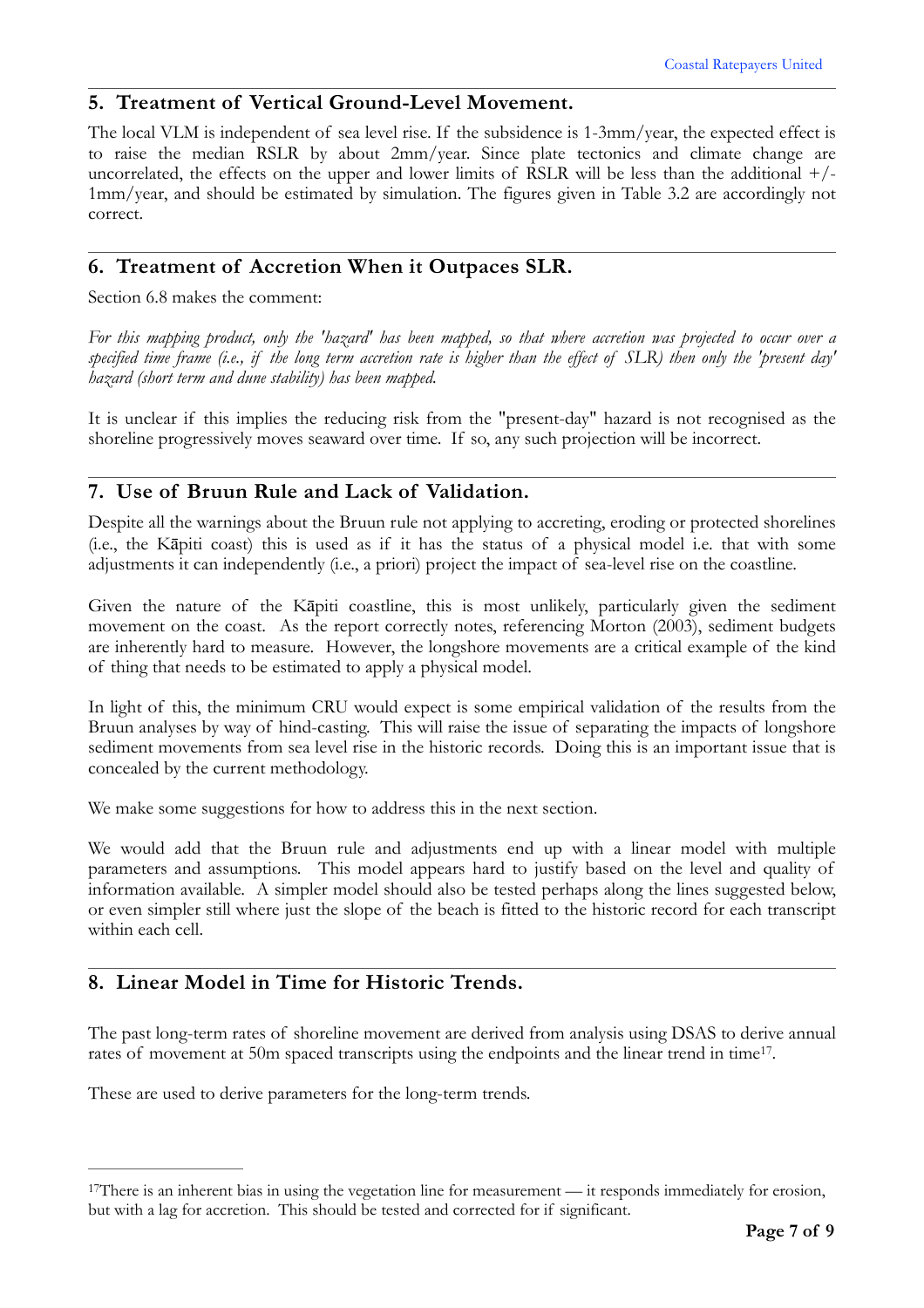#### **5. Treatment of Vertical Ground-Level Movement.**

The local VLM is independent of sea level rise. If the subsidence is 1-3mm/year, the expected effect is to raise the median RSLR by about 2mm/year. Since plate tectonics and climate change are uncorrelated, the effects on the upper and lower limits of RSLR will be less than the additional  $+/-$ 1mm/year, and should be estimated by simulation. The figures given in Table 3.2 are accordingly not correct.

#### **6. Treatment of Accretion When it Outpaces SLR.**

Section 6.8 makes the comment:

*For this mapping product, only the 'hazard' has been mapped, so that where accretion was projected to occur over a specified time frame (i.e., if the long term accretion rate is higher than the effect of SLR) then only the 'present day' hazard (short term and dune stability) has been mapped.*

It is unclear if this implies the reducing risk from the "present-day" hazard is not recognised as the shoreline progressively moves seaward over time. If so, any such projection will be incorrect.

#### **7. Use of Bruun Rule and Lack of Validation.**

Despite all the warnings about the Bruun rule not applying to accreting, eroding or protected shorelines (i.e., the Kāpiti coast) this is used as if it has the status of a physical model i.e. that with some adjustments it can independently (i.e., a priori) project the impact of sea-level rise on the coastline.

Given the nature of the Kāpiti coastline, this is most unlikely, particularly given the sediment movement on the coast. As the report correctly notes, referencing Morton (2003), sediment budgets are inherently hard to measure. However, the longshore movements are a critical example of the kind of thing that needs to be estimated to apply a physical model.

In light of this, the minimum CRU would expect is some empirical validation of the results from the Bruun analyses by way of hind-casting. This will raise the issue of separating the impacts of longshore sediment movements from sea level rise in the historic records. Doing this is an important issue that is concealed by the current methodology.

We make some suggestions for how to address this in the next section.

We would add that the Bruun rule and adjustments end up with a linear model with multiple parameters and assumptions. This model appears hard to justify based on the level and quality of information available. A simpler model should also be tested perhaps along the lines suggested below, or even simpler still where just the slope of the beach is fitted to the historic record for each transcript within each cell.

# **8. Linear Model in Time for Historic Trends.**

<span id="page-6-1"></span>The past long-term rates of shoreline movement are derived from analysis using DSAS to derive annual rates of movement at 50m spaced transcripts using the endpoints and the linear trend in time<sup>[17](#page-6-0)</sup>.

These are used to derive parameters for the long-term trends.

<span id="page-6-0"></span><sup>&</sup>lt;sup>[17](#page-6-1)</sup>There is an inherent bias in using the vegetation line for measurement — it responds immediately for erosion, but with a lag for accretion. This should be tested and corrected for if significant.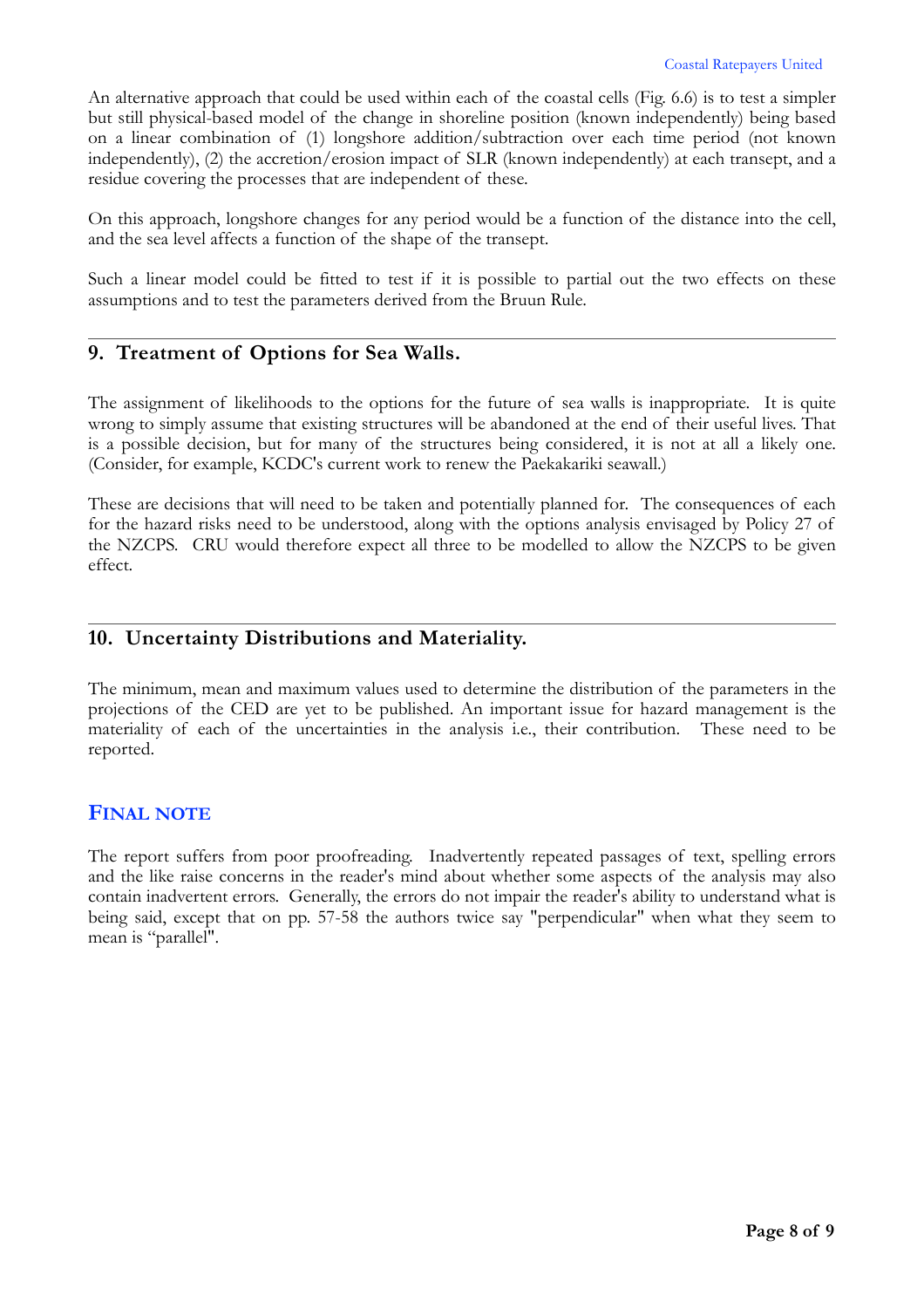An alternative approach that could be used within each of the coastal cells (Fig. 6.6) is to test a simpler but still physical-based model of the change in shoreline position (known independently) being based on a linear combination of (1) longshore addition/subtraction over each time period (not known independently), (2) the accretion/erosion impact of SLR (known independently) at each transept, and a residue covering the processes that are independent of these.

On this approach, longshore changes for any period would be a function of the distance into the cell, and the sea level affects a function of the shape of the transept.

Such a linear model could be fitted to test if it is possible to partial out the two effects on these assumptions and to test the parameters derived from the Bruun Rule.

#### **9. Treatment of Options for Sea Walls.**

The assignment of likelihoods to the options for the future of sea walls is inappropriate. It is quite wrong to simply assume that existing structures will be abandoned at the end of their useful lives. That is a possible decision, but for many of the structures being considered, it is not at all a likely one. (Consider, for example, KCDC's current work to renew the Paekakariki seawall.)

These are decisions that will need to be taken and potentially planned for. The consequences of each for the hazard risks need to be understood, along with the options analysis envisaged by Policy 27 of the NZCPS. CRU would therefore expect all three to be modelled to allow the NZCPS to be given effect.

#### **10. Uncertainty Distributions and Materiality.**

The minimum, mean and maximum values used to determine the distribution of the parameters in the projections of the CED are yet to be published. An important issue for hazard management is the materiality of each of the uncertainties in the analysis i.e., their contribution. These need to be reported.

#### **FINAL NOTE**

The report suffers from poor proofreading. Inadvertently repeated passages of text, spelling errors and the like raise concerns in the reader's mind about whether some aspects of the analysis may also contain inadvertent errors. Generally, the errors do not impair the reader's ability to understand what is being said, except that on pp. 57-58 the authors twice say "perpendicular" when what they seem to mean is "parallel".